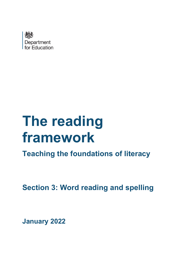

# **The reading framework**

**Teaching the foundations of literacy**

**Section 3: Word reading and spelling**

**January 2022**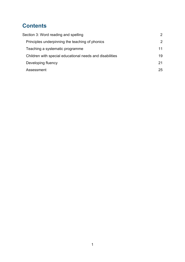# **Contents**

| Section 3: Word reading and spelling                     | $\mathcal{P}$ |
|----------------------------------------------------------|---------------|
| Principles underpinning the teaching of phonics          | 2             |
| Teaching a systematic programme                          | 11            |
| Children with special educational needs and disabilities | 19            |
| Developing fluency                                       | 21            |
| Assessment                                               | 25            |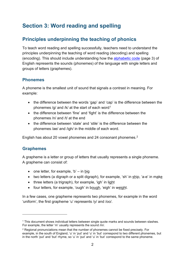# <span id="page-2-0"></span>**Section 3: Word reading and spelling**

## <span id="page-2-1"></span>**Principles underpinning the teaching of phonics**

To teach word reading and spelling successfully, teachers need to understand the principles underpinning the teaching of word reading (decoding) and spelling (encoding). This should include understanding how the [alphabetic code](#page-3-0) (page 3) of English represents the sounds (phonemes) of the language with single letters and groups of letters (graphemes).

## **Phonemes**

A phoneme is the smallest unit of sound that signals a contrast in meaning. For example:

- the difference between the words 'gap' and 'cap' is the difference between the phonemes /g/ and /k/ at the start of each word<sup>[1](#page-2-2)</sup>
- the difference between 'fine' and 'fight' is the difference between the phonemes /n/ and /t/ at the end
- the difference between 'stale' and 'stile' is the difference between the phonemes /ae/ and /igh/ in the middle of each word.

English has about 20 vowel phonemes and 24 consonant phonemes.[2](#page-2-3)

## **Graphemes**

A grapheme is a letter or group of letters that usually represents a single phoneme. A grapheme can consist of:

- one letter, for example, 'b'  $-$  in big
- two letters (a digraph or a split digraph), for example, 'sh' in ship, 'a-e' in make
- three letters (a trigraph), for example, 'igh' in light
- four letters, for example, 'ough' in bough, 'eigh' in weight.

In a few cases, one grapheme represents two phonemes, for example in the word 'uniform', the first grapheme 'u' represents /y/ and /oo/.

<span id="page-2-2"></span><sup>1</sup> This document shows individual letters between single quote marks and sounds between slashes. For example, the letter 'm' usually represents the sound /m/.

<span id="page-2-3"></span><sup>2</sup> Regional pronunciations mean that the number of phonemes cannot be fixed precisely. For example, in the south of England, 'u' in 'put' and 'u' in 'but' correspond to two different phonemes, but in the north 'put' and 'but' rhyme, so 'u' in 'put' and 'u' in 'but' correspond to the same phoneme.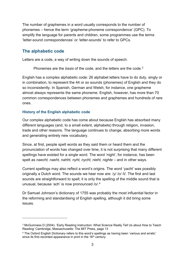The number of graphemes in a word usually corresponds to the number of phonemes – hence the term 'grapheme-phoneme correspondence' (GPC). To simplify the language for parents and children, some programmes use the terms 'letter-sound correspondences' or 'letter-sounds' to refer to GPCs.

#### <span id="page-3-0"></span>**The alphabetic code**

Letters are a code, a way of writing down the sounds of speech.

Phonemes are the *basis* of the code, and the letters *are* the code.[3](#page-3-1)

English has a complex alphabetic code: 26 alphabet letters have to do duty, singly or in combination, to represent the 44 or so sounds (phonemes) of English and they do so inconsistently. In Spanish, German and Welsh, for instance, one grapheme almost always represents the same phoneme. English, however, has more than 70 common correspondences between phonemes and graphemes and hundreds of rare ones.

#### **History of the English alphabetic code**

Our complex alphabetic code has come about because English has absorbed many different languages (and, to a small extent, alphabets) through religion, invasion, trade and other reasons. The language continues to change, absorbing more words and generating entirely new vocabulary.

Since, at first, people spelt words as they said them or heard them and the pronunciation of words has changed over time, it is not surprising that many different spellings have existed for a single word. The word 'night', for instance, has been spelt as *naecht, naeht, nahht, nyht, nycht, nieht, nighte* – and in other ways.

Current spellings may also reflect a word's origins. The word 'yacht' was possibly originally a Dutch word. The sounds we hear now are: /y/ /o/ /t/. The first and last sounds are straightforward to spell; it is only the spelling of the middle sound that is unusual, because 'ach' is now pronounced /o/.<sup>[4](#page-3-2)</sup>

Dr Samuel Johnson's dictionary of 1755 was probably the most influential factor in the reforming and standardising of English spelling, although it did bring some issues.

<span id="page-3-1"></span><sup>3</sup> McGuinness D (2004). 'Early Reading Instruction: What Science Really Tell Us about How to Teach Reading' Cambridge, Massachusetts: The MIT Press, page 13

<span id="page-3-2"></span><sup>4</sup> The Oxford English Dictionary refers to this word's spellings as having been 'various and erratic' since its first recorded appearance in print in the 16<sup>th</sup> century.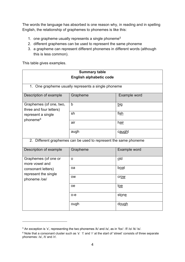The words the language has absorbed is one reason why, in reading and in spelling English, the relationship of graphemes to phonemes is like this:

- 1. one grapheme usually represents a single phoneme<sup>[5](#page-4-0)</sup>
- 2. different graphemes can be used to represent the same phoneme
- 3. a grapheme can represent different phonemes in different words (although this is less common).

This table gives examples.

| <b>Summary table</b>                                                                                 |                                                     |              |
|------------------------------------------------------------------------------------------------------|-----------------------------------------------------|--------------|
| <b>English alphabetic code</b>                                                                       |                                                     |              |
|                                                                                                      | 1. One grapheme usually represents a single phoneme |              |
|                                                                                                      |                                                     |              |
| Description of example                                                                               | Grapheme                                            | Example word |
| Graphemes (of one, two,<br>three and four letters)<br>represent a single<br>phoneme <sup>6</sup>     | b                                                   | big          |
|                                                                                                      | sh                                                  | fish         |
|                                                                                                      | air                                                 | hair         |
|                                                                                                      | augh                                                | caught       |
| 2. Different graphemes can be used to represent the same phoneme                                     |                                                     |              |
| Description of example                                                                               | Grapheme                                            | Example word |
| Graphemes (of one or<br>more vowel and<br>consonant letters)<br>represent the single<br>phoneme /oe/ | $\Omega$                                            | old          |
|                                                                                                      | oa                                                  | boat         |
|                                                                                                      | <b>OW</b>                                           | crow         |
|                                                                                                      | <b>oe</b>                                           | toe          |
|                                                                                                      | $o-e$                                               | stone        |
|                                                                                                      | ough                                                | dough        |

<span id="page-4-0"></span><sup>5</sup> An exception is 'x', representing the two phonemes /k/ and /s/, as in 'fox': /f/ /o/ /k/ /s/.

<span id="page-4-1"></span><sup>&</sup>lt;sup>6</sup> Note that a consonant cluster such as 's' 't' and 'r' at the start of 'street' consists of three separate phonemes: /s/, /t/ and /r/.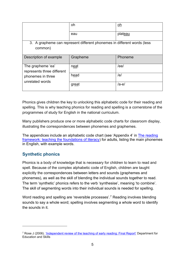|                                                                         | oh       | oh      |
|-------------------------------------------------------------------------|----------|---------|
|                                                                         | eau      | plateau |
| 3. A grapheme can represent different phonemes in different words (less |          |         |
| common)                                                                 |          |         |
| Description of example                                                  | Grapheme | Phoneme |
| The grapheme 'ea'<br>represents three different                         | neat     | /ee/    |
| phonemes in three<br>unrelated words                                    | head     | /e/     |
|                                                                         | great    | /ae/    |

Phonics gives children the key to unlocking this alphabetic code for their reading and spelling. This is why teaching phonics for reading and spelling is a cornerstone of the programmes of study for English in the national curriculum.

Many publishers produce one or more alphabetic code charts for classroom display, illustrating the correspondences between phonemes and graphemes.

The appendices include an alphabetic code chart (see 'Appendix 4' in [The reading](https://www.gov.uk/government/publications/the-reading-framework-teaching-the-foundations-of-literacy)  [framework: teaching the foundations of literacy\)](https://www.gov.uk/government/publications/the-reading-framework-teaching-the-foundations-of-literacy) for adults, listing the main phonemes in English, with example words.

## **Synthetic phonics**

Phonics is a body of knowledge that is necessary for children to learn to read and spell. Because of the complex alphabetic code of English, children are taught explicitly the correspondences between letters and sounds (graphemes and phonemes), as well as the skill of blending the individual sounds together to read. The term 'synthetic' phonics refers to the verb 'synthesise', meaning 'to combine'. The skill of segmenting words into their individual sounds is needed for spelling.

Word reading and spelling are 'reversible processes'.<sup>[7](#page-5-0)</sup> Reading involves blending sounds to say a whole word; spelling involves segmenting a whole word to identify the sounds in it.

<span id="page-5-0"></span><sup>7</sup> Rose J (2006). ['Independent review of the teaching of early reading: Final Report'](https://dera.ioe.ac.uk/5551/2/report.pdf) Department for Education and Skills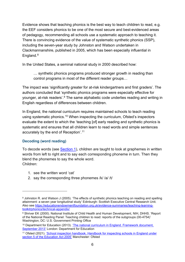Evidence shows that teaching phonics is the best way to teach children to read, e.g. the EEF considers phonics to be one of the most secure and best-evidenced areas of pedagogy, recommending all schools use a systematic approach to teaching it. There is convincing evidence of the value of systematic synthetic phonics (SSP), including the seven-year study by Johnston and Watson undertaken in Clackmannanshire, published in 2005, which has been especially influential in England. [8](#page-6-0)

In the United States, a seminal national study in 2000 described how:

… synthetic phonics programs produced stronger growth in reading than control programs in most of the different reader groups…

The impact was 'significantly greater for at-risk kindergartners and first graders'. The authors concluded that 'synthetic phonics programs were especially effective for younger, at-risk readers'.[9](#page-6-1) The same alphabetic code underlies reading and writing in English regardless of differences between children.

In England, the national curriculum requires maintained schools to teach reading using systematic phonics.<sup>[10](#page-6-2)</sup> When inspecting the curriculum, Ofsted's inspectors evaluate the extent to which the 'teaching [of] early reading and synthetic phonics is systematic and ensures that all children learn to read words and simple sentences accurately by the end of Reception'.[11](#page-6-3)

#### **Decoding (word reading)**

To decode words (see [Section 1\)](https://www.gov.uk/government/publications/the-reading-framework-teaching-the-foundations-of-literacy), children are taught to look at graphemes in written words from left to right and to say each corresponding phoneme in turn. Then they blend the phonemes to say the whole word. Children:

- 1. see the written word 'cat'
- 2. say the corresponding three phonemes /k/ /a/ /t/

<span id="page-6-0"></span><sup>8</sup> Johnston R. and Watson J (2005). 'The effects of synthetic phonics teaching on reading and spelling attainment: a seven year longitudinal study' Edinburgh: Scottish Executive Central Research Unit. Also see [https://educationendowmentfoundation.org.uk/evidence-summaries/teaching-learning](https://educationendowmentfoundation.org.uk/evidence-summaries/teaching-learning-toolkit/phonics/technical-appendix/)[toolkit/phonics/technical-appendix/](https://educationendowmentfoundation.org.uk/evidence-summaries/teaching-learning-toolkit/phonics/technical-appendix/)

<span id="page-6-1"></span><sup>9</sup> Shriver EK (2000). National Institute of Child Health and Human Development, NIH, DHHS. 'Report of the National Reading Panel: Teaching children to read: reports of the subgroups (00-4754)' Washington, DC: U.S. Government Printing Office

<span id="page-6-2"></span><sup>&</sup>lt;sup>10</sup> Department for Education (2013). 'The national curriculum in England. Framework document, [September 2013'](https://www.gov.uk/government/collections/national-curriculum) London: Department for Education

<span id="page-6-3"></span><sup>11</sup> Ofsted (2021). ['School inspection handbook. Handbook for inspecting schools in England under](https://www.gov.uk/government/publications/school-inspection-handbook-eif)  [section 5 of the Education Act 2005'](https://www.gov.uk/government/publications/school-inspection-handbook-eif) Manchester: Ofsted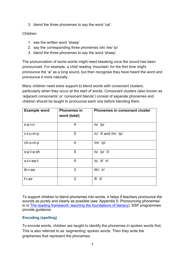3. blend the three phonemes to say the word 'cat'.

#### Children:

- 1. see the written word 'sheep'
- 2. say the corresponding three phonemes /sh/ /ee/ /p/
- 3. blend the three phonemes to say the word 'sheep'.

The pronunciation of some words might need tweaking once the sound has been pronounced. For example, a child reading 'mountain' for the first time might pronounce the 'ai' as a long sound, but then recognise they have heard the word and pronounce it more naturally.

Many children need extra support to blend words with consonant clusters, particularly when they occur at the start of words. Consonant clusters (also known as 'adjacent consonants' or 'consonant blends') consist of separate phonemes and children should be taught to pronounce each one before blending them.

| <b>Example word</b> | <b>Phonemes in</b><br>word (total) | <b>Phonemes in consonant cluster</b> |
|---------------------|------------------------------------|--------------------------------------|
| s-p-i-n             | 4                                  | $ s $ $ p $                          |
| c-l-u-m-p           | 5                                  | $ c $ /l/ and $ m $ /p/              |
| ch-o-m-p            | 4                                  | $/m/$ /p/                            |
| s-p-l-a-sh          | 5                                  | $ s $ $ p $ $ l $                    |
| s-t-r-ee-t          | 5                                  | /s//t//r/                            |
| th-r-ee             | 3                                  | $/th/$ /r/                           |
| f-l-air             | 3                                  | $/f/$ /l/                            |

To support children to blend phonemes into words, it helps if teachers pronounce the sounds as purely and clearly as possible (see 'Appendix 5: Pronouncing phonemes' in in [The reading framework: teaching the foundations of literacy\)](https://www.gov.uk/government/publications/the-reading-framework-teaching-the-foundations-of-literacy). SSP programmes provide guidance.

#### **Encoding (spelling)**

To encode words, children are taught to identify the phonemes in spoken words first. This is also referred to as 'segmenting' spoken words. Then they write the graphemes that represent the phonemes.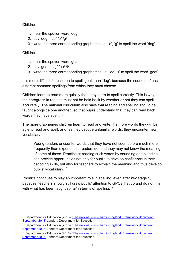Children:

- 1. hear the spoken word 'dog'
- 2. say 'dog'  $-$  /d/ /o/ /g/
- 3. write the three corresponding graphemes 'd', 'o', 'g' to spell the word 'dog'.

Children:

- 1. hear the spoken word 'goat'
- 2. say 'goat'  $-$  /g/ /oe/ /t/
- 3. write the three corresponding graphemes, 'g', 'oa', 't' to spell the word 'goat'.

It is more difficult for children to spell 'goat' than 'dog', because the sound /oe/ has different common spellings from which they must choose.

Children learn to read more quickly than they learn to spell correctly. This is why their progress in reading must not be held back by whether or not they can spell accurately. The national curriculum also says that reading and spelling should be taught alongside one another, 'so that pupils understand that they can read back words they have spelt'.<sup>12</sup>

The more graphemes children learn to read and write, the more words they will be able to read and spell, and, as they decode unfamiliar words, they encounter new vocabulary.

Young readers encounter words that they have not seen before much more frequently than experienced readers do, and they may not know the meaning of some of these. Practice at reading such words by sounding and blending can provide opportunities not only for pupils to develop confidence in their decoding skills, but also for teachers to explain the meaning and thus develop pupils' vocabulary.[13](#page-8-1)

Phonics continues to play an important role in spelling, even after key stage 1, because 'teachers should still draw pupils' attention to GPCs that do and do not fit in with what has been taught so far' in terms of spelling.<sup>[14](#page-8-2)</sup>

<span id="page-8-0"></span><sup>12</sup> Department for Education (2013). ['The national curriculum in England. Framework document,](https://www.gov.uk/government/collections/national-curriculum)  [September 2013'](https://www.gov.uk/government/collections/national-curriculum) London: Department for Education

<span id="page-8-1"></span><sup>&</sup>lt;sup>13</sup> Department for Education (2013). 'The national curriculum in England. Framework document, [September 2013'](https://www.gov.uk/government/collections/national-curriculum) London: Department for Education

<span id="page-8-2"></span><sup>&</sup>lt;sup>14</sup> Department for Education (2013). 'The national curriculum in England. Framework document, [September 2013'](https://www.gov.uk/government/collections/national-curriculum) London: Department for Education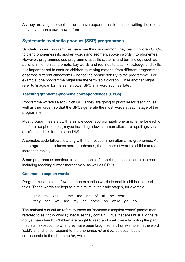As they are taught to spell, children have opportunities to practise writing the letters they have been shown how to form.

## **Systematic synthetic phonics (SSP) programmes**

Synthetic phonic programmes have one thing in common: they teach children GPCs, to blend phonemes into spoken words and segment spoken words into phonemes. However, programmes use programme-specific systems and terminology such as actions, mnemonics, prompts, key words and routines to teach knowledge and skills. It is important not to confuse children by mixing material from different programmes or across different classrooms – hence the phrase 'fidelity to the programme'. For example, one programme might use the term 'split digraph', while another might refer to 'magic e' for the same vowel GPC in a word such as 'late'.

#### **Teaching grapheme-phoneme correspondences (GPCs)**

Programme writers select which GPCs they are going to prioritise for teaching, as well as their order, so that the GPCs generate the most words at each stage of the programme.

Most programmes start with a simple code: approximately one grapheme for each of the 44 or so phonemes (maybe including a few common alternative spellings such as 'c', 'k' and 'ck' for the sound /k/).

A complex code follows, starting with the most common alternative graphemes. As the programme introduces more graphemes, the number of words a child can read increases rapidly.

Some programmes continue to teach phonics for spelling, once children can read, including teaching further morphemes, as well as GPCs.

#### **Common exception words**

Programmes include a few common exception words to enable children to read texts. These words are kept to a minimum in the early stages, for example:

said to was I the me no of all he you they she we are my be some so were go no

The national curriculum refers to these as 'common exception words' (sometimes referred to as 'tricky words'), because they contain GPCs that are unusual or have not yet been taught. Children are taught to read and spell these by noting the part that is an exception to what they have been taught so far. For example, in the word 'said', 's' and 'd' correspond to the phonemes /s/ and /d/ as usual, but 'ai' corresponds to the phoneme /e/, which is unusual.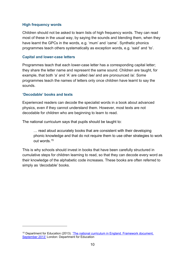#### **High frequency words**

Children should not be asked to learn lists of high frequency words. They can read most of these in the usual way, by saying the sounds and blending them, when they have learnt the GPCs in the words, e.g. 'mum' and 'came'. Synthetic phonics programmes teach others systematically as exception words, e.g. 'said' and 'to'.

#### **Capital and lower-case letters**

Programmes teach that each lower-case letter has a corresponding capital letter; they share the letter name and represent the same sound. Children are taught, for example, that both 'a' and 'A' are called /ae/ and are pronounced /a/. Some programmes teach the names of letters only once children have learnt to say the sounds.

#### <span id="page-10-1"></span>**'Decodable' books and texts**

Experienced readers can decode the specialist words in a book about advanced physics, even if they cannot understand them. However, most texts are not decodable for children who are beginning to learn to read.

The national curriculum says that pupils should be taught to:

… read aloud accurately books that are consistent with their developing phonic knowledge and that do not require them to use other strategies to work out words.[15](#page-10-0)

This is why schools should invest in books that have been carefully structured in cumulative steps for children learning to read, so that they can decode every word as their knowledge of the alphabetic code increases. These books are often referred to simply as 'decodable' books.

<span id="page-10-0"></span><sup>&</sup>lt;sup>15</sup> Department for Education (2013). 'The national curriculum in England. Framework document, [September 2013'](https://www.gov.uk/government/collections/national-curriculum) London: Department for Education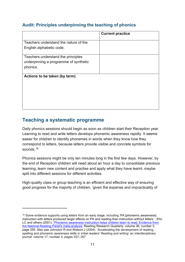## **Audit: Principles underpinning the teaching of phonics**

|                                       | <b>Current practice</b> |
|---------------------------------------|-------------------------|
| Teachers understand the nature of the |                         |
| English alphabetic code.              |                         |
| Teachers understand the principles    |                         |
| underpinning a programme of synthetic |                         |
| phonics.                              |                         |
| Actions to be taken (by term)         |                         |
|                                       |                         |
|                                       |                         |
|                                       |                         |
|                                       |                         |
|                                       |                         |

## <span id="page-11-0"></span>**Teaching a systematic programme**

Daily phonics sessions should begin as soon as children start their Reception year. Learning to read and write letters develops phonemic awareness rapidly. It seems easier for children to identify phonemes in words when they know how they correspond to letters, because letters provide visible and concrete symbols for sounds.[16](#page-11-1)

Phonics sessions might be only ten minutes long in the first few days. However, by the end of Reception children will need about an hour a day to consolidate previous learning, learn new content and practise and apply what they have learnt, maybe split into different sessions for different activities.

High-quality class or group teaching is an efficient and effective way of ensuring good progress for the majority of children, 'given the expense and impracticality of

<span id="page-11-1"></span><sup>&</sup>lt;sup>16</sup> Some evidence supports using letters from an early stage, including 'PA [phonemic awareness] instruction with letters produced larger effects on PA and reading than instruction without letters ', Ehri LC and others (2001). 'Phonemic awareness instruction helps children learn to read: Evidence from [the National Reading Panel's meta-analysis'](https://www.researchgate.net/publication/230852982_Phonemic_Awareness_Instruction_Helps_Children_Learn_to_Read_Evidence_From_the_National_Reading_Panel%27s_Meta-Analysis) Reading Research Quarterly: volume 36, number 3, page 255. Also see Johnston R and Watson J (2004). 'Accelerating the development of reading, spelling and phonemic awareness skills in initial readers' Reading and writing: an interdisciplinary journal: volume 17, number 4, pages 327–357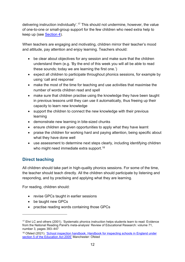delivering instruction individually'.[17](#page-12-0) This should not undermine, however, the value of one-to-one or small-group support for the few children who need extra help to keep up (see [Section 4\)](https://www.gov.uk/government/publications/the-reading-framework-teaching-the-foundations-of-literacy).

When teachers are engaging and motivating, children mirror their teacher's mood and attitude, pay attention and enjoy learning. Teachers should:

- be clear about objectives for any session and make sure that the children understand them (e.g. 'By the end of this week you will all be able to read these sounds; today we are learning the first one.')
- expect all children to participate throughout phonics sessions, for example by using 'call and response'
- make the most of the time for teaching and use activities that maximise the number of words children read and spell
- make sure that children practise using the knowledge they have been taught in previous lessons until they can use it automatically, thus freeing up their capacity to learn new knowledge
- support the children to connect the new knowledge with their previous learning
- demonstrate new learning in bite-sized chunks
- ensure children are given opportunities to apply what they have learnt
- praise the children for working hard and paying attention, being specific about what they have done well
- use assessment to determine next steps clearly, including identifying children who might need immediate extra support.<sup>[18](#page-12-1)</sup>

## **Direct teaching**

All children should take part in high-quality phonics sessions. For some of the time, the teacher should teach directly. All the children should participate by listening and responding, and by practising and applying what they are learning.

For reading, children should:

- revise GPCs taught in earlier sessions
- be taught new GPCs
- practise reading words containing those GPCs

<span id="page-12-0"></span><sup>17</sup> Ehri LC and others (2001). 'Systematic phonics instruction helps students learn to read: Evidence from the National Reading Panel's meta-analysis' Review of Educational Research: volume 71, number 3, pages 393–447

<span id="page-12-1"></span><sup>&</sup>lt;sup>18</sup> Ofsted (2021). 'School inspection handbook. Handbook for inspecting schools in England under [section 5 of the Education Act 2005'](https://www.gov.uk/government/publications/school-inspection-handbook-eif) Manchester: Ofsted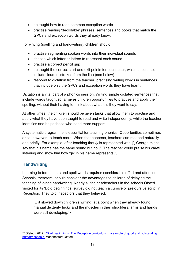- be taught how to read common exception words
- practise reading 'decodable' phrases, sentences and books that match the GPCs and exception words they already know.

For writing (spelling and handwriting), children should:

- practise segmenting spoken words into their individual sounds
- choose which letter or letters to represent each sound
- practise a correct pencil grip
- be taught the correct start and exit points for each letter, which should not include 'lead-in' strokes from the line (see below)
- respond to dictation from the teacher, practising writing words in sentences that include only the GPCs and exception words they have learnt.

Dictation is a vital part of a phonics session. Writing simple dictated sentences that include words taught so far gives children opportunities to practise and apply their spelling, without their having to think about what it is they want to say.

At other times, the children should be given tasks that allow them to practise and apply what they have been taught to read and write independently, while the teacher identifies and helps those who need more support.

A systematic programme is essential for teaching phonics. Opportunities sometimes arise, however, to teach more. When that happens, teachers can respond naturally and briefly. For example, after teaching that /j/ is represented with 'j', George might say that his name has the same sound but no 'j'. The teacher could praise his careful listening and show him how 'ge' in his name represents /j/.

## **Handwriting**

Learning to form letters and spell words requires considerable effort and attention. Schools, therefore, should consider the advantages to children of delaying the teaching of joined handwriting. Nearly all the headteachers in the schools Ofsted visited for its 'Bold beginnings' survey did not teach a cursive or pre-cursive script in Reception. They told inspectors that they believed:

… it slowed down children's writing, at a point when they already found manual dexterity tricky and the muscles in their shoulders, arms and hands were still developing.<sup>19</sup>

<span id="page-13-0"></span><sup>19</sup> Ofsted (2017). ['Bold beginnings: The Reception curriculum in a sample of good and outstanding](https://www.gov.uk/government/publications/reception-curriculum-in-good-and-outstanding-primary-schools-bold-beginnings)  [primary schools'](https://www.gov.uk/government/publications/reception-curriculum-in-good-and-outstanding-primary-schools-bold-beginnings) Manchester: Ofsted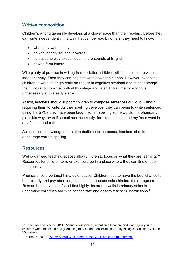#### **Written composition**

Children's writing generally develops at a slower pace than their reading. Before they can write independently in a way that can be read by others, they need to know:

- what they want to say
- how to identify sounds in words
- at least one way to spell each of the sounds of English
- how to form letters

With plenty of practice in writing from dictation, children will find it easier to write independently. Then they can begin to write down their ideas. However, expecting children to write at length early on results in cognitive overload and might damage their motivation to write, both at this stage and later. Extra time for writing is unnecessary at this early stage.

At first, teachers should support children to compose sentences out loud, without requiring them to write. As their spelling develops, they can begin to write sentences using the GPCs they have been taught so far, spelling some words in a phonically plausible way, even if sometimes incorrectly, for example: 'me and my frens went in a cafai and had caix'.

As children's knowledge of the alphabetic code increases, teachers should encourage correct spelling.

#### **Resources**

Well-organised teaching spaces allow children to focus on what they are learning.<sup>[20](#page-14-0)</sup> Resources for children to refer to should be in a place where they can find or see them easily.

Phonics should be taught in a quiet space. Children need to have the best chance to hear clearly and pay attention, because extraneous noise hinders their progress. Researchers have also found that highly decorated walls in primary schools undermine children's ability to concentrate and absorb teachers' instructions.<sup>21</sup>

<span id="page-14-0"></span> $20$  Fisher AV and others (2014). 'Visual environment, attention allocation, and learning in young children: when too much of a good thing may be bad' Association for Psychological Science: volume 25, issue 7

<span id="page-14-1"></span><sup>21</sup> Burnet K (2014). ['Study Shows Classroom Decor Can Distract From Learning'](https://www.wesa.fm/education/2014-06-02/study-shows-classroom-decor-can-distract-from-learning)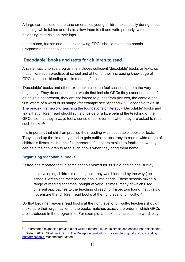A large carpet close to the teacher enables young children to sit easily during direct teaching, while tables and chairs allow them to sit and write properly, without balancing materials on their laps.

Letter cards, friezes and posters showing GPCs should match the phonic programme the school has chosen.

## **'Decodable' books and texts for children to read**

A systematic phonics programme includes sufficient 'decodable' books or texts, so that children can practise, at school and at home, their increasing knowledge of GPCs and their blending skill in meaningful contexts.

'Decodable' books and other texts make children feel successful from the very beginning. They do not encounter words that include GPCs they cannot decode. If an adult is not present, they are not forced to guess from pictures, the context, the first letters of a word or its shape (for example see 'Appendix 6: Decodable texts' in [The reading framework: teaching the foundations of literacy\)](https://www.gov.uk/government/publications/the-reading-framework-teaching-the-foundations-of-literacy). 'Decodable' books and texts that children read should run alongside or a little behind the teaching of the GPCs, so that they always feel a sense of achievement when they are asked to read such books.<sup>[22](#page-15-0)</sup>

It is important that children practise their reading with 'decodable' books or texts. They speed up the time they need to gain sufficient accuracy to read a wide range of children's literature. It is helpful, therefore, if teachers explain to families how they can help their children to read such books when they bring them home.

#### **Organising 'decodable' books**

Ofsted has reported that in some schools visited for its 'Bold beginnings' survey:

… developing children's reading accuracy was hindered by the way [the schools] organised their reading books into bands. These schools mixed a range of reading schemes, bought at various times, many of which used different approaches to the teaching of reading. Inspectors found that this did not ensure that children read books at the right level of difficulty.[23](#page-15-1)

So that beginner readers read books at the right level of difficulty, teachers should make sure their organisation of the books matches exactly the order in which GPCs are introduced in the programme. For example, a book that includes the word 'play'

<span id="page-15-1"></span><span id="page-15-0"></span> $22$  Programmes might also provide other written material (such as simple sentences) that reflects this. <sup>23</sup> Ofsted (2017). 'Bold beginnings: The Reception curriculum in a sample of good and outstanding [primary schools'](https://www.gov.uk/government/publications/reception-curriculum-in-good-and-outstanding-primary-schools-bold-beginnings) Manchester: Ofsted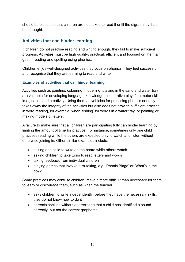should be placed so that children are not asked to read it until the digraph 'ay' has been taught.

## **Activities that can hinder learning**

If children do not practise reading and writing enough, they fail to make sufficient progress. Activities must be high quality, practical, efficient and focused on the main goal – reading and spelling using phonics.

Children enjoy well-designed activities that focus on phonics. They feel successful and recognise that they are learning to read and write.

#### **Examples of activities that can hinder learning**

Activities such as painting, colouring, modelling, playing in the sand and water tray are valuable for developing language, knowledge, cooperative play, fine motor skills, imagination and creativity. Using them as vehicles for practising phonics not only takes away the integrity of the activities but also does not provide sufficient practice in word reading, for example, when 'fishing' for words in a water tray, or painting or making models of letters.

A failure to make sure that all children are participating fully can hinder learning by limiting the amount of time for practice. For instance, sometimes only one child practises reading while the others are expected only to watch and listen without otherwise joining in. Other similar examples include:

- asking one child to write on the board while others watch
- asking children to take turns to read letters and words
- taking feedback from individual children
- playing games that involve turn-taking, e.g. 'Phonic Bingo' or 'What's in the box?'

Some practices may confuse children, make it more difficult than necessary for them to learn or discourage them, such as when the teacher:

- asks children to write independently, before they have the necessary skills: they do not know how to do it
- corrects spelling without appreciating that a child has identified a sound correctly, but not the correct grapheme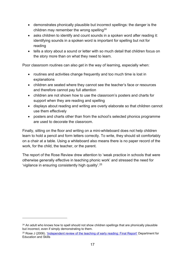- demonstrates phonically plausible but incorrect spellings: the danger is the children may remember the wrong spelling  $24$
- asks children to identify and count sounds in a spoken word after reading it: identifying sounds in a spoken word is important for spelling but not for reading
- tells a story about a sound or letter with so much detail that children focus on the story more than on what they need to learn.

Poor classroom routines can also get in the way of learning, especially when:

- routines and activities change frequently and too much time is lost in explanations
- children are seated where they cannot see the teacher's face or resources and therefore cannot pay full attention
- children are not shown how to use the classroom's posters and charts for support when they are reading and spelling
- displays about reading and writing are overly elaborate so that children cannot use them effectively
- posters and charts other than from the school's selected phonics programme are used to decorate the classroom.

Finally, sitting on the floor and writing on a mini-whiteboard does not help children learn to hold a pencil and form letters correctly. To write, they should sit comfortably on a chair at a table. Using a whiteboard also means there is no paper record of the work, for the child, the teacher, or the parent.

The report of the Rose Review drew attention to 'weak practice in schools that were otherwise generally effective in teaching phonic work' and stressed the need for 'vigilance in ensuring consistently high quality'.[25](#page-17-1)

<span id="page-17-0"></span> $24$  An adult who knows how to spell should not show children spellings that are phonically plausible but incorrect, even if simply demonstrating to them.

<span id="page-17-1"></span><sup>&</sup>lt;sup>25</sup> Rose J (2006). ['Independent review of the teaching](https://dera.ioe.ac.uk/5551/2/report.pdf) of early reading: Final Report' Department for Education and Skills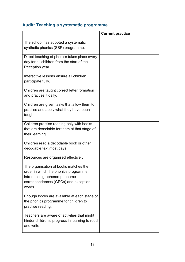# **Audit: Teaching a systematic programme**

|                                                                                                                                                                | <b>Current practice</b> |
|----------------------------------------------------------------------------------------------------------------------------------------------------------------|-------------------------|
| The school has adopted a systematic<br>synthetic phonics (SSP) programme.                                                                                      |                         |
| Direct teaching of phonics takes place every<br>day for all children from the start of the<br>Reception year.                                                  |                         |
| Interactive lessons ensure all children<br>participate fully.                                                                                                  |                         |
| Children are taught correct letter formation<br>and practise it daily.                                                                                         |                         |
| Children are given tasks that allow them to<br>practise and apply what they have been<br>taught.                                                               |                         |
| Children practise reading only with books<br>that are decodable for them at that stage of<br>their learning.                                                   |                         |
| Children read a decodable book or other<br>decodable text most days.                                                                                           |                         |
| Resources are organised effectively.                                                                                                                           |                         |
| The organisation of books matches the<br>order in which the phonics programme<br>introduces grapheme-phoneme<br>correspondences (GPCs) and exception<br>words. |                         |
| Enough books are available at each stage of<br>the phonics programme for children to<br>practise reading.                                                      |                         |
| Teachers are aware of activities that might<br>hinder children's progress in learning to read<br>and write.                                                    |                         |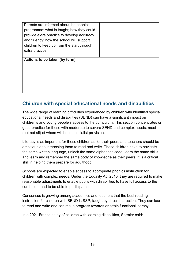| Parents are informed about the phonics     |  |
|--------------------------------------------|--|
| programme: what is taught; how they could  |  |
| provide extra practice to develop accuracy |  |
| and fluency; how the school will support   |  |
| children to keep up from the start through |  |
| extra practice.                            |  |
|                                            |  |
| Actions to be taken (by term)              |  |
|                                            |  |
|                                            |  |
|                                            |  |
|                                            |  |
|                                            |  |

## <span id="page-19-0"></span>**Children with special educational needs and disabilities**

The wide range of learning difficulties experienced by children with identified special educational needs and disabilities (SEND) can have a significant impact on children's and young people's access to the curriculum. This section concentrates on good practice for those with moderate to severe SEND and complex needs, most (but not all) of whom will be in specialist provision.

Literacy is as important for these children as for their peers and teachers should be ambitious about teaching them to read and write. These children have to navigate the same written language, unlock the same alphabetic code, learn the same skills, and learn and remember the same body of knowledge as their peers. It is a critical skill in helping them prepare for adulthood.

Schools are expected to enable access to appropriate phonics instruction for children with complex needs. Under the Equality Act 2010, they are required to make reasonable adjustments to enable pupils with disabilities to have full access to the curriculum and to be able to participate in it.

Consensus is growing among academics and teachers that the best reading instruction for children with SEND is SSP, taught by direct instruction. They can learn to read and write and can make progress towards or attain functional literacy.

In a 2021 French study of children with learning disabilities, Sermier said: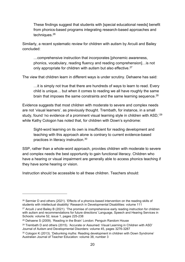These findings suggest that students with [special educational needs] benefit from phonics-based programs integrating research-based approaches and techniques.[26](#page-20-0)

Similarly, a recent systematic review for children with autism by Arcuili and Bailey concluded:

…comprehensive instruction that incorporates [phonemic awareness, phonics, vocabulary, reading fluency and reading comprehension]…is not only appropriate for children with autism but also effective.<sup>[27](#page-20-1)</sup>

The view that children learn in different ways is under scrutiny. Dehaene has said:

…it is simply not true that there are hundreds of ways to learn to read. Every child is unique… but when it comes to reading we all have roughly the same brain that imposes the same constraints and the same learning sequence.<sup>28</sup>

Evidence suggests that most children with moderate to severe and complex needs are not 'visual learners', as previously thought. Trembath, for instance, in a small study, found 'no evidence of a prominent visual learning style in children with ASD,  $29$ while Kathy Cologon has noted that, for children with Down's syndrome:

Sight-word learning on its own is insufficient for reading development and teaching with this approach alone is contrary to current evidence-based practices in literacy instruction. [30](#page-20-4)

SSP, rather than a whole-word approach, provides children with moderate to severe and complex needs the best opportunity to gain functional literacy. Children who have a hearing or visual impairment are generally able to access phonics teaching if they have some hearing or vision.

Instruction should be accessible to all these children. Teachers should:

<span id="page-20-0"></span><sup>&</sup>lt;sup>26</sup> Sermier D and others (2021). 'Effects of a phonics-based intervention on the reading skills of students with intellectual disability' Research in Developmental Disabilities: volume 111

<span id="page-20-1"></span><sup>&</sup>lt;sup>27</sup> Arcuili J and Bailey B (2021). 'The promise of comprehensive early reading instruction for children with autism and recommendations for future directions' Language, Speech and Hearing Services in Schools: volume 52, issue 1, pages 225-238

<span id="page-20-2"></span><sup>28</sup> Dehaene S (2009). 'Reading in the Brain' London: Penguin Random House

<span id="page-20-3"></span> $29$  Trembath D and others (2015). 'Accurate or Assumed: Visual Learning in Children with ASD' Journal of Autism and Developmental Disorders: volume 45, pages 3276-3287

<span id="page-20-4"></span><sup>30</sup> Cologon K (2013). 'Debunking myths: Reading development in children with Down Syndrome' Australian Journal of Teacher Education: volume 38, number 3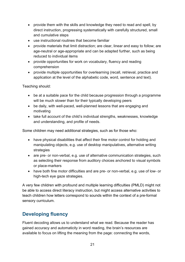- provide them with the skills and knowledge they need to read and spell, by direct instruction, progressing systematically with carefully structured, small and cumulative steps
- use instructional routines that become familiar
- provide materials that limit distraction; are clear, linear and easy to follow; are age-neutral or age-appropriate and can be adapted further, such as being reduced to individual items
- provide opportunities for work on vocabulary, fluency and reading comprehension
- provide multiple opportunities for overlearning (recall, retrieval, practice and application at the level of the alphabetic code, word, sentence and text).

Teaching should:

- be at a suitable pace for the child because progression through a programme will be much slower than for their typically developing peers
- be daily, with well-paced, well-planned lessons that are engaging and motivating
- take full account of the child's individual strengths, weaknesses, knowledge and understanding, and profile of needs.

Some children may need additional strategies, such as for those who:

- have physical disabilities that affect their fine motor control for holding and manipulating objects, e.g. use of desktop manipulatives, alternative writing strategies
- are pre- or non-verbal, e.g. use of alternative communication strategies, such as selecting their response from auditory choices anchored to visual symbols or place-markers
- have both fine motor difficulties and are pre- or non-verbal, e.g. use of low- or high-tech eye gaze strategies.

A very few children with profound and multiple learning difficulties (PMLD) might not be able to access direct literacy instruction, but might access alternative activities to teach children how letters correspond to sounds within the context of a pre-formal sensory curriculum.

# <span id="page-21-0"></span>**Developing fluency**

Fluent decoding allows us to understand what we read. Because the reader has gained accuracy and automaticity in word reading, the brain's resources are available to focus on lifting the meaning from the page: connecting the words,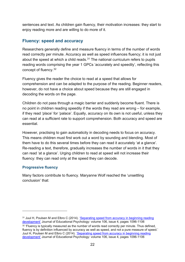sentences and text. As children gain fluency, their motivation increases: they start to enjoy reading more and are willing to do more of it.

#### **Fluency: speed and accuracy**

Researchers generally define and measure fluency in terms of the number of words read correctly per minute. Accuracy as well as speed influences fluency; it is not just about the speed at which a child reads. $31$  The national curriculum refers to pupils reading words comprising the year 1 GPCs 'accurately and speedily', reflecting this concept of fluency.[32](#page-22-1)

Fluency gives the reader the choice to read at a speed that allows for comprehension and can be adapted to the purpose of the reading. Beginner readers, however, do not have a choice about speed because they are still engaged in decoding the words on the page.

Children do not pass through a magic barrier and suddenly become fluent. There is no point in children reading speedily if the words they read are wrong – for example, if they read 'place' for 'palace'. Equally, accuracy on its own is not useful, unless they can read at a sufficient rate to support comprehension. Both accuracy and speed are essential.

However, practising to gain automaticity in decoding needs to focus on accuracy. This means children must first work out a word by sounding and blending. Most of them have to do this several times before they can read it accurately 'at a glance'. Re-reading a text, therefore, gradually increases the number of words in it that they can read 'at a glance'. Urging children to read at speed will not increase their fluency: they can read only at the speed they can decode.

#### **Progressive fluency**

Many factors contribute to fluency. Maryanne Wolf reached the 'unsettling conclusion' that:

<span id="page-22-0"></span><sup>&</sup>lt;sup>31</sup> Juul H, Poulsen M and Elbro C (2014). 'Separating speed from accuracy in beginning reading [development'](https://psycnet.apa.org/doiLanding?doi=10.1037%2Fa0037100) Journal of Educational Psychology: volume 106, issue 4, pages 1096-1106

<span id="page-22-1"></span><sup>&</sup>lt;sup>32</sup> 'Fluency is typically measured as the number of words read correctly per minute. Thus defined, fluency is by definition influenced by accuracy as well as speed, and not a pure measure of speed.' Juul H, Poulsen M and Elbro C (2014). ['Separating speed from accuracy in beginning reading](https://psycnet.apa.org/doiLanding?doi=10.1037%2Fa0037100)  [development'](https://psycnet.apa.org/doiLanding?doi=10.1037%2Fa0037100) Journal of Educational Psychology: volume 106, issue 4, pages 1096-1106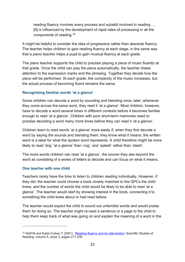reading fluency involves every process and subskill involved in reading. … [It] is influenced by the development of rapid rates of processing in all the components of reading.[33](#page-23-0) 

It might be helpful to consider the idea of progressive rather than absolute fluency. The teacher helps children to gain reading fluency at each stage, in the same way that a piano teacher helps a pupil to gain musical fluency at each grade.

The piano teacher supports the child to practise playing a piece of music fluently at that grade. Once the child can play the piece automatically, the teacher draws attention to the expression marks and the phrasing. Together they decide how the piece will be performed. At each grade, the complexity of the music increases, but the actual process of becoming fluent remains the same.

#### **Recognising familiar words 'at a glance'**

Some children can decode a word by sounding and blending once; later, whenever they come across the same word, they read it 'at a glance'. Most children, however, have to decode a word several times in different contexts before it becomes familiar enough to read 'at a glance'. Children with poor short-term memories need to practise decoding a word many more times before they can read it 'at a glance'.

Children learn to read words 'at a glance' more easily if, when they first decode a word by saying the sounds and blending them, they know what it means: the written word is a label for what the spoken word represents. A child therefore might be more likely to read 'dog' 'at a glance' than 'cog', and 'splash' rather than 'stash'.

The more words children can read 'at a glance', the sooner they see beyond the word as consisting of a series of letters to decode and can focus on what it means.

#### **One teacher with one child**

Teachers rarely have the time to listen to children reading individually. However, if they did, the teacher could choose a book closely matched to the GPCs the child knew, and the number of words the child would be likely to be able to read 'at a glance'. The teacher would start by showing interest in the book, connecting it to something the child knew about or had read before.

The teacher would expect the child to sound out unfamiliar words and would praise them for doing so. The teacher might re-read a sentence or a page to the child to help them keep track of what was going on and explain the meaning of a word in the

<span id="page-23-0"></span><sup>33</sup> Wolf M and Katzir-Cohen T (2001). ['Reading fluency and its intervention'](https://www.tandfonline.com/doi/abs/10.1207/S1532799XSSR0503_2) Scientific Studies of Reading: volume 5, issue 3, pages 211-239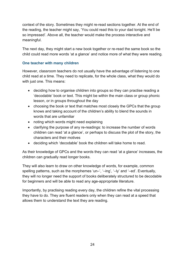context of the story. Sometimes they might re-read sections together. At the end of the reading, the teacher might say, 'You could read this to your dad tonight. He'll be so impressed'. Above all, the teacher would make the process interactive and meaningful.

The next day, they might start a new book together or re-read the same book so the child could read more words 'at a glance' and notice more of what they were reading.

#### **One teacher with many children**

However, classroom teachers do not usually have the advantage of listening to one child read at a time. They need to replicate, for the whole class, what they would do with just one. This means:

- deciding how to organise children into groups so they can practise reading a 'decodable' book or text. This might be within the main class or group phonic lesson, or in groups throughout the day
- choosing the book or text that matches most closely the GPCs that the group knows and taking account of the children's ability to blend the sounds in words that are unfamiliar
- noting which words might need explaining
- clarifying the purpose of any re-readings: to increase the number of words children can read 'at a glance', or perhaps to discuss the plot of the story, the characters and their motives
- deciding which 'decodable' book the children will take home to read.

As their knowledge of GPCs and the words they can read 'at a glance' increases, the children can gradually read longer books.

They will also learn to draw on other knowledge of words, for example, common spelling patterns, such as the morphemes 'un–', '–ing', '–ly' and '–ed'. Eventually, they will no longer need the support of books deliberately structured to be decodable for beginners and will be able to read any age-appropriate literature.

Importantly, by practising reading every day, the children refine the vital processing they have to do. They are fluent readers only when they can read at a speed that allows them to understand the text they are reading.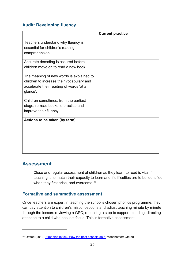## **Audit: Developing fluency**

| <b>Current practice</b> |
|-------------------------|
|                         |
|                         |
|                         |
|                         |
|                         |
|                         |
|                         |
|                         |
|                         |
|                         |
|                         |
|                         |
|                         |
|                         |
|                         |
|                         |
|                         |
|                         |
|                         |
|                         |
|                         |

## <span id="page-25-0"></span>**Assessment**

Close and regular assessment of children as they learn to read is vital if teaching is to match their capacity to learn and if difficulties are to be identified when they first arise, and overcome.<sup>[34](#page-25-1)</sup>

## **Formative and summative assessment**

Once teachers are expert in teaching the school's chosen phonics programme, they can pay attention to children's misconceptions and adjust teaching minute by minute through the lesson: reviewing a GPC; repeating a step to support blending; directing attention to a child who has lost focus. This is formative assessment.

<span id="page-25-1"></span><sup>34</sup> Ofsted (2010). ['Reading by six. How the best schools do it'](https://www.gov.uk/government/publications/reading-by-six-how-the-best-schools-do-it) Manchester: Ofsted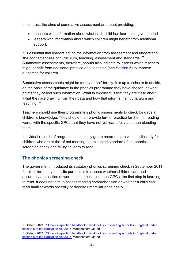In contrast, the aims of summative assessment are about providing:

- teachers with information about what each child has learnt in a given period
- leaders with information about which children might benefit from additional support.

It is essential that leaders act on the information from assessment and understand 'the connectedness of curriculum, teaching, assessment and standards'.[35](#page-26-0) Summative assessments, therefore, should also indicate to leaders which teachers might benefit from additional practice and coaching (see [Section 5\)](https://www.gov.uk/government/publications/the-reading-framework-teaching-the-foundations-of-literacy) to improve outcomes for children.

Summative assessments might be termly or half-termly. It is up to schools to decide, on the basis of the guidance in the phonics programme they have chosen, at what points they collect such information. What is important is that they are clear about 'what they are drawing from their data and how that informs their curriculum and teaching'.[36](#page-26-1)

Teachers should use their programme's phonic assessments to check for gaps in children's knowledge. They should then provide further practice for them in reading words with the specific GPCs that they have not yet learnt fully and then blending them.

Individual records of progress – not simply group records – are vital, particularly for children who are at risk of not meeting the expected standard of the phonics screening check and failing to learn to read.

## **The phonics screening check**

The government introduced its statutory phonics screening check in September 2011 for all children in year 1. Its purpose is to assess whether children can read accurately a selection of words that include common GPCs: the first step in learning to read. It does not aim to assess reading comprehension or whether a child can read familiar words speedily or decode unfamiliar ones easily.

<span id="page-26-0"></span><sup>35</sup> Ofsted (2021). ['School inspection handbook. Handbook for inspecting schools in England under](https://www.gov.uk/government/publications/school-inspection-handbook-eif)  [section 5 of the Education Act 2005'](https://www.gov.uk/government/publications/school-inspection-handbook-eif) Manchester: Ofsted

<span id="page-26-1"></span><sup>36</sup> Ofsted (2021). ['School inspection handbook. Handbook for inspecting schools in England under](https://www.gov.uk/government/publications/school-inspection-handbook-eif)  [section 5 of the Education Act 2005'](https://www.gov.uk/government/publications/school-inspection-handbook-eif) Manchester: Ofsted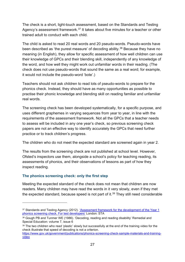The check is a short, light-touch assessment, based on the Standards and Testing Agency's assessment framework.<sup>[37](#page-27-0)</sup> It takes about five minutes for a teacher or other trained adult to conduct with each child.

The child is asked to read 20 real words and 20 pseudo-words. Pseudo-words have been described as 'the purest measure' of decoding ability.<sup>[38](#page-27-1)</sup> Because they have no meaning (in English), they allow for specific assessment of how well children can use their knowledge of GPCs and their blending skill, independently of any knowledge of the word, and how well they might work out unfamiliar words in their reading. (The check does not use pseudo-words that sound the same as a real word; for example, it would not include the pseudo-word 'bote'.)

Teachers should not ask children to read lots of pseudo-words to prepare for the phonics check. Instead, they should have as many opportunities as possible to practise their phonic knowledge and blending skill on reading familiar and unfamiliar real words.

The screening check has been developed systematically, for a specific purpose, and uses different graphemes in varying sequences from year to year, in line with the requirements of the assessment framework. Not all the GPCs that a teacher needs to assess will be included in any one year's check, so previous screening check papers are not an effective way to identify accurately the GPCs that need further practice or to track children's progress.

The children who do not meet the expected standard are screened again in year 2.

The results from the screening check are not published at school level. However, Ofsted's inspectors use them, alongside a school's policy for teaching reading, its assessments of phonics, and their observations of lessons as part of how they inspect reading.

#### **The phonics screening check: only the first step**

Meeting the expected standard of the check does not mean that children are now readers. Many children may have read the words in it very slowly, even if they met the expected standard, because speed is not part of it. [39](#page-27-2) They still need considerable

<span id="page-27-0"></span><sup>37</sup> Standards and Testing Agency (2012). 'Assessment framework for the development of the Year 1 [phonics screening check. For test developers'](https://www.gov.uk/government/publications/assessment-framework-for-the-development-of-the-year-1-phonics-screening-check) London: STA

<span id="page-27-1"></span><sup>38</sup> Gough PB and Tunmer WE (1986). 'Decoding, reading and reading disability' Remedial and Special Education: volume 7, issue 6

<span id="page-27-2"></span><sup>&</sup>lt;sup>39</sup> The two children who read 'plastic' slowly but successfully at the end of the training video for the check illustrate that speed of decoding is not a criterion.

[https://www.gov.uk/government/publications/phonics-screening-check-sample-materials-and-training](https://www.gov.uk/government/publications/phonics-screening-check-sample-materials-and-training-video)[video](https://www.gov.uk/government/publications/phonics-screening-check-sample-materials-and-training-video)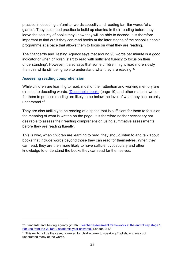practice in decoding unfamiliar words speedily and reading familiar words 'at a glance'. They also need practice to build up stamina in their reading before they leave the security of books they know they will be able to decode. It is therefore important to find out if they can read books at the later stages of the school's phonic programme at a pace that allows them to focus on what they are reading.

The Standards and Testing Agency says that around 90 words per minute is a good indicator of when children 'start to read with sufficient fluency to focus on their understanding'. However, it also says that some children might read more slowly than this while still being able to understand what they are reading.<sup>[40](#page-28-0)</sup>

#### **Assessing reading comprehension**

While children are learning to read, most of their attention and working memory are directed to decoding words. ['Decodable' books](#page-10-1) (page 10) and other material written for them to practise reading are likely to be below the level of what they can actually understand.[41](#page-28-1)

They are also unlikely to be reading at a speed that is sufficient for them to focus on the meaning of what is written on the page. It is therefore neither necessary nor desirable to assess their reading comprehension using summative assessments before they are reading fluently.

This is why, when children are learning to read, they should listen to and talk about books that include words beyond those they can read for themselves. When they can read, they are then more likely to have sufficient vocabulary and other knowledge to understand the books they can read for themselves.

<span id="page-28-0"></span><sup>40</sup> Standards and Testing Agency (2018). 'Teacher assessment frameworks at the end of key stage 1. [For use from the 2018/19 academic year onwards.'](https://www.gov.uk/government/publications/teacher-assessment-frameworks-at-the-end-of-key-stage-1) London: STA

<span id="page-28-1"></span><sup>41</sup> This might not be the case, however, for children new to speaking English, who may not understand many of the words.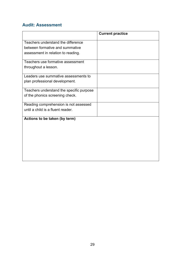## **Audit: Assessment**

|                                          | <b>Current practice</b> |
|------------------------------------------|-------------------------|
| Teachers understand the difference       |                         |
| between formative and summative          |                         |
| assessment in relation to reading.       |                         |
|                                          |                         |
| Teachers use formative assessment        |                         |
| throughout a lesson.                     |                         |
| Leaders use summative assessments to     |                         |
| plan professional development.           |                         |
| Teachers understand the specific purpose |                         |
| of the phonics screening check.          |                         |
| Reading comprehension is not assessed    |                         |
| until a child is a fluent reader.        |                         |
| Actions to be taken (by term)            |                         |
|                                          |                         |
|                                          |                         |
|                                          |                         |
|                                          |                         |
|                                          |                         |
|                                          |                         |